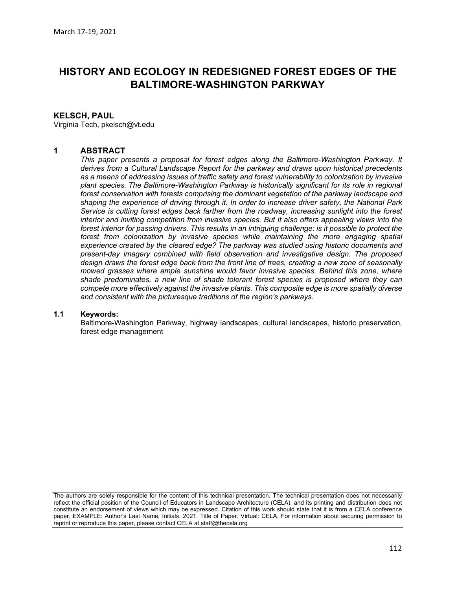# HISTORY AND ECOLOGY IN REDESIGNED FOREST EDGES OF THE BALTIMORE-WASHINGTON PARKWAY

### KELSCH, PAUL

Virginia Tech, pkelsch@vt.edu

### 1 ABSTRACT

This paper presents a proposal for forest edges along the Baltimore-Washington Parkway. It derives from a Cultural Landscape Report for the parkway and draws upon historical precedents as a means of addressing issues of traffic safety and forest vulnerability to colonization by invasive plant species. The Baltimore-Washington Parkway is historically significant for its role in regional forest conservation with forests comprising the dominant vegetation of the parkway landscape and shaping the experience of driving through it. In order to increase driver safety, the National Park Service is cutting forest edges back farther from the roadway, increasing sunlight into the forest interior and inviting competition from invasive species. But it also offers appealing views into the forest interior for passing drivers. This results in an intriguing challenge: is it possible to protect the forest from colonization by invasive species while maintaining the more engaging spatial experience created by the cleared edge? The parkway was studied using historic documents and present-day imagery combined with field observation and investigative design. The proposed design draws the forest edge back from the front line of trees, creating a new zone of seasonally mowed grasses where ample sunshine would favor invasive species. Behind this zone, where shade predominates, a new line of shade tolerant forest species is proposed where they can compete more effectively against the invasive plants. This composite edge is more spatially diverse and consistent with the picturesque traditions of the region's parkways.

#### 1.1 Keywords:

Baltimore-Washington Parkway, highway landscapes, cultural landscapes, historic preservation, forest edge management

The authors are solely responsible for the content of this technical presentation. The technical presentation does not necessarily reflect the official position of the Council of Educators in Landscape Architecture (CELA), and its printing and distribution does not constitute an endorsement of views which may be expressed. Citation of this work should state that it is from a CELA conference paper. EXAMPLE: Author's Last Name, Initials. 2021. Title of Paper. Virtual: CELA. For information about securing permission to reprint or reproduce this paper, please contact CELA at staff@thecela.org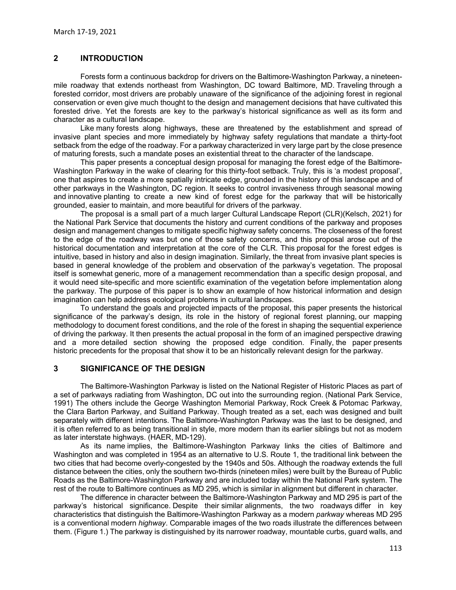# 2 INTRODUCTION

Forests form a continuous backdrop for drivers on the Baltimore-Washington Parkway, a nineteenmile roadway that extends northeast from Washington, DC toward Baltimore, MD. Traveling through a forested corridor, most drivers are probably unaware of the significance of the adjoining forest in regional conservation or even give much thought to the design and management decisions that have cultivated this forested drive. Yet the forests are key to the parkway's historical significance as well as its form and character as a cultural landscape.

Like many forests along highways, these are threatened by the establishment and spread of invasive plant species and more immediately by highway safety regulations that mandate a thirty-foot setback from the edge of the roadway. For a parkway characterized in very large part by the close presence of maturing forests, such a mandate poses an existential threat to the character of the landscape.

This paper presents a conceptual design proposal for managing the forest edge of the Baltimore-Washington Parkway in the wake of clearing for this thirty-foot setback. Truly, this is 'a modest proposal', one that aspires to create a more spatially intricate edge, grounded in the history of this landscape and of other parkways in the Washington, DC region. It seeks to control invasiveness through seasonal mowing and innovative planting to create a new kind of forest edge for the parkway that will be historically grounded, easier to maintain, and more beautiful for drivers of the parkway.

The proposal is a small part of a much larger Cultural Landscape Report (CLR)(Kelsch, 2021) for the National Park Service that documents the history and current conditions of the parkway and proposes design and management changes to mitigate specific highway safety concerns. The closeness of the forest to the edge of the roadway was but one of those safety concerns, and this proposal arose out of the historical documentation and interpretation at the core of the CLR. This proposal for the forest edges is intuitive, based in history and also in design imagination. Similarly, the threat from invasive plant species is based in general knowledge of the problem and observation of the parkway's vegetation. The proposal itself is somewhat generic, more of a management recommendation than a specific design proposal, and it would need site-specific and more scientific examination of the vegetation before implementation along the parkway. The purpose of this paper is to show an example of how historical information and design imagination can help address ecological problems in cultural landscapes.

To understand the goals and projected impacts of the proposal, this paper presents the historical significance of the parkway's design, its role in the history of regional forest planning, our mapping methodology to document forest conditions, and the role of the forest in shaping the sequential experience of driving the parkway. It then presents the actual proposal in the form of an imagined perspective drawing and a more detailed section showing the proposed edge condition. Finally, the paper presents historic precedents for the proposal that show it to be an historically relevant design for the parkway.

**3** SIGNIFICANCE OF THE DESIGN<br>The Baltimore-Washington Parkway is listed on the National Register of Historic Places as part of a set of parkways radiating from Washington, DC out into the surrounding region. (National Park Service, 1991) The others include the George Washington Memorial Parkway, Rock Creek & Potomac Parkway, the Clara Barton Parkway, and Suitland Parkway. Though treated as a set, each was designed and built separately with different intentions. The Baltimore-Washington Parkway was the last to be designed, and it is often referred to as being transitional in style, more modern than its earlier siblings but not as modern as later interstate highways. (HAER, MD-129).

As its name implies, the Baltimore-Washington Parkway links the cities of Baltimore and Washington and was completed in 1954 as an alternative to U.S. Route 1, the traditional link between the two cities that had become overly-congested by the 1940s and 50s. Although the roadway extends the full distance between the cities, only the southern two-thirds (nineteen miles) were built by the Bureau of Public Roads as the Baltimore-Washington Parkway and are included today within the National Park system. The rest of the route to Baltimore continues as MD 295, which is similar in alignment but different in character.

The difference in character between the Baltimore-Washington Parkway and MD 295 is part of the parkway's historical significance. Despite their similar alignments, the two roadways differ in key characteristics that distinguish the Baltimore-Washington Parkway as a modern parkway whereas MD 295 is a conventional modern *highway*. Comparable images of the two roads illustrate the differences between them. (Figure 1.) The parkway is distinguished by its narrower roadway, mountable curbs, guard walls, and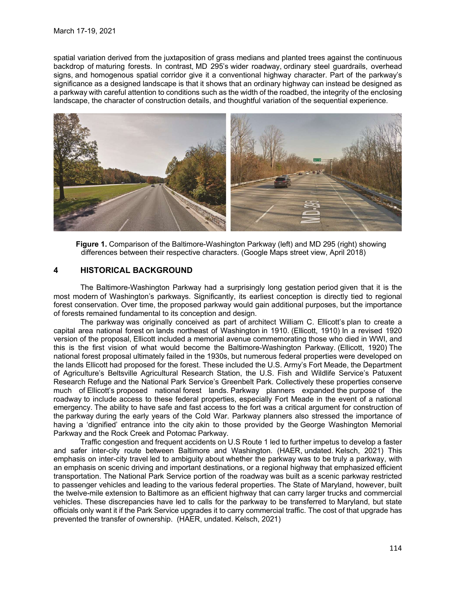spatial variation derived from the juxtaposition of grass medians and planted trees against the continuous backdrop of maturing forests. In contrast, MD 295's wider roadway, ordinary steel guardrails, overhead signs, and homogenous spatial corridor give it a conventional highway character. Part of the parkway's significance as a designed landscape is that it shows that an ordinary highway can instead be designed as a parkway with careful attention to conditions such as the width of the roadbed, the integrity of the enclosing landscape, the character of construction details, and thoughtful variation of the sequential experience.



Figure 1. Comparison of the Baltimore-Washington Parkway (left) and MD 295 (right) showing differences between their respective characters. (Google Maps street view, April 2018)

The Baltimore-Washington Parkway had a surprisingly long gestation period given that it is the most modern of Washington's parkways. Significantly, its earliest conception is directly tied to regional forest conservation. Over time, the proposed parkway would gain additional purposes, but the importance of forests remained fundamental to its conception and design.

The parkway was originally conceived as part of architect William C. Ellicott's plan to create a capital area national forest on lands northeast of Washington in 1910. (Ellicott, 1910) In a revised 1920 version of the proposal, Ellicott included a memorial avenue commemorating those who died in WWI, and this is the first vision of what would become the Baltimore-Washington Parkway. (Ellicott, 1920) The national forest proposal ultimately failed in the 1930s, but numerous federal properties were developed on the lands Ellicott had proposed for the forest. These included the U.S. Army's Fort Meade, the Department of Agriculture's Beltsville Agricultural Research Station, the U.S. Fish and Wildlife Service's Patuxent Research Refuge and the National Park Service's Greenbelt Park. Collectively these properties conserve much of Ellicott's proposed national forest lands. Parkway planners expanded the purpose of the roadway to include access to these federal properties, especially Fort Meade in the event of a national emergency. The ability to have safe and fast access to the fort was a critical argument for construction of the parkway during the early years of the Cold War. Parkway planners also stressed the importance of having a 'dignified' entrance into the city akin to those provided by the George Washington Memorial Parkway and the Rock Creek and Potomac Parkway.

Traffic congestion and frequent accidents on U.S Route 1 led to further impetus to develop a faster and safer inter-city route between Baltimore and Washington. (HAER, undated. Kelsch, 2021) This emphasis on inter-city travel led to ambiguity about whether the parkway was to be truly a parkway, with an emphasis on scenic driving and important destinations, or a regional highway that emphasized efficient transportation. The National Park Service portion of the roadway was built as a scenic parkway restricted to passenger vehicles and leading to the various federal properties. The State of Maryland, however, built the twelve-mile extension to Baltimore as an efficient highway that can carry larger trucks and commercial vehicles. These discrepancies have led to calls for the parkway to be transferred to Maryland, but state officials only want it if the Park Service upgrades it to carry commercial traffic. The cost of that upgrade has prevented the transfer of ownership. (HAER, undated. Kelsch, 2021)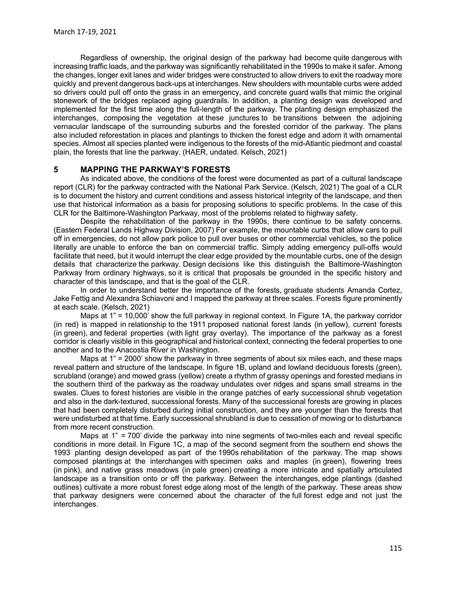Regardless of ownership, the original design of the parkway had become quite dangerous with increasing traffic loads, and the parkway was significantly rehabilitated in the 1990s to make it safer. Among the changes, longer exit lanes and wider bridges were constructed to allow drivers to exit the roadway more quickly and prevent dangerous back-ups at interchanges. New shoulders with mountable curbs were added so drivers could pull off onto the grass in an emergency, and concrete guard walls that mimic the original stonework of the bridges replaced aging guardrails. In addition, a planting design was developed and implemented for the first time along the full-length of the parkway. The planting design emphasized the interchanges, composing the vegetation at these junctures to be transitions between the adjoining vernacular landscape of the surrounding suburbs and the forested corridor of the parkway. The plans also included reforestation in places and plantings to thicken the forest edge and adorn it with ornamental species. Almost all species planted were indigenous to the forests of the mid-Atlantic piedmont and coastal plain, the forests that line the parkway. (HAER, undated. Kelsch, 2021)

## 5 MAPPING THE PARKWAY'S FORESTS

As indicated above, the conditions of the forest were documented as part of a cultural landscape report (CLR) for the parkway contracted with the National Park Service. (Kelsch, 2021) The goal of a CLR is to document the history and current conditions and assess historical integrity of the landscape, and then use that historical information as a basis for proposing solutions to specific problems. In the case of this CLR for the Baltimore-Washington Parkway, most of the problems related to highway safety.

Despite the rehabilitation of the parkway in the 1990s, there continue to be safety concerns. (Eastern Federal Lands Highway Division, 2007) For example, the mountable curbs that allow cars to pull off in emergencies, do not allow park police to pull over buses or other commercial vehicles, so the police literally are unable to enforce the ban on commercial traffic. Simply adding emergency pull-offs would facilitate that need, but it would interrupt the clear edge provided by the mountable curbs, one of the design details that characterize the parkway. Design decisions like this distinguish the Baltimore-Washington Parkway from ordinary highways, so it is critical that proposals be grounded in the specific history and character of this landscape, and that is the goal of the CLR.

In order to understand better the importance of the forests, graduate students Amanda Cortez, Jake Fettig and Alexandra Schiavoni and I mapped the parkway at three scales. Forests figure prominently at each scale. (Kelsch, 2021)

Maps at 1" = 10,000' show the full parkway in regional context. In Figure 1A, the parkway corridor (in red) is mapped in relationship to the 1911 proposed national forest lands (in yellow), current forests (in green), and federal properties (with light gray overlay). The importance of the parkway as a forest corridor is clearly visible in this geographical and historical context, connecting the federal properties to one another and to the Anacostia River in Washington.

Maps at 1" = 2000' show the parkway in three segments of about six miles each, and these maps reveal pattern and structure of the landscape. In figure 1B, upland and lowland deciduous forests (green), scrubland (orange) and mowed grass (yellow) create a rhythm of grassy openings and forested medians in the southern third of the parkway as the roadway undulates over ridges and spans small streams in the swales. Clues to forest histories are visible in the orange patches of early successional shrub vegetation and also in the dark-textured, successional forests. Many of the successional forests are growing in places that had been completely disturbed during initial construction, and they are younger than the forests that were undisturbed at that time. Early successional shrubland is due to cessation of mowing or to disturbance from more recent construction.

Maps at 1" = 700' divide the parkway into nine segments of two-miles each and reveal specific conditions in more detail. In Figure 1C, a map of the second segment from the southern end shows the 1993 planting design developed as part of the 1990s rehabilitation of the parkway. The map shows composed plantings at the interchanges with specimen oaks and maples (in green), flowering trees (in pink), and native grass meadows (in pale green) creating a more intricate and spatially articulated landscape as a transition onto or off the parkway. Between the interchanges, edge plantings (dashed outlines) cultivate a more robust forest edge along most of the length of the parkway. These areas show that parkway designers were concerned about the character of the full forest edge and not just the interchanges.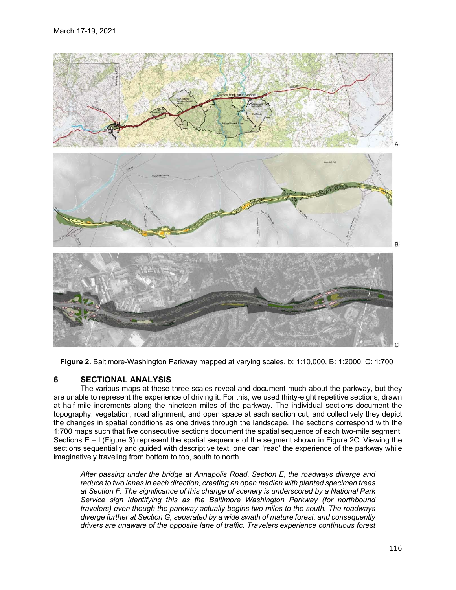

Figure 2. Baltimore-Washington Parkway mapped at varying scales. b: 1:10,000, B: 1:2000, C: 1:700

# 6 SECTIONAL ANALYSIS

The various maps at these three scales reveal and document much about the parkway, but they are unable to represent the experience of driving it. For this, we used thirty-eight repetitive sections, drawn at half-mile increments along the nineteen miles of the parkway. The individual sections document the topography, vegetation, road alignment, and open space at each section cut, and collectively they depict the changes in spatial conditions as one drives through the landscape. The sections correspond with the 1:700 maps such that five consecutive sections document the spatial sequence of each two-mile segment. Sections E – I (Figure 3) represent the spatial sequence of the segment shown in Figure 2C. Viewing the sections sequentially and guided with descriptive text, one can 'read' the experience of the parkway while imaginatively traveling from bottom to top, south to north.

After passing under the bridge at Annapolis Road, Section E, the roadways diverge and reduce to two lanes in each direction, creating an open median with planted specimen trees at Section F. The significance of this change of scenery is underscored by a National Park Service sign identifying this as the Baltimore Washington Parkway (for northbound travelers) even though the parkway actually begins two miles to the south. The roadways diverge further at Section G, separated by a wide swath of mature forest, and consequently drivers are unaware of the opposite lane of traffic. Travelers experience continuous forest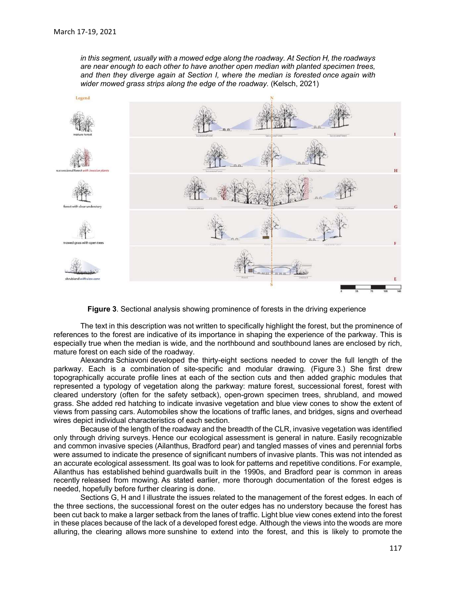in this segment, usually with a mowed edge along the roadway. At Section H, the roadways are near enough to each other to have another open median with planted specimen trees, and then they diverge again at Section I, where the median is forested once again with wider mowed grass strips along the edge of the roadway. (Kelsch, 2021)



Figure 3. Sectional analysis showing prominence of forests in the driving experience

The text in this description was not written to specifically highlight the forest, but the prominence of references to the forest are indicative of its importance in shaping the experience of the parkway. This is especially true when the median is wide, and the northbound and southbound lanes are enclosed by rich, mature forest on each side of the roadway.

Alexandra Schiavoni developed the thirty-eight sections needed to cover the full length of the parkway. Each is a combination of site-specific and modular drawing. (Figure 3.) She first drew topographically accurate profile lines at each of the section cuts and then added graphic modules that represented a typology of vegetation along the parkway: mature forest, successional forest, forest with cleared understory (often for the safety setback), open-grown specimen trees, shrubland, and mowed grass. She added red hatching to indicate invasive vegetation and blue view cones to show the extent of views from passing cars. Automobiles show the locations of traffic lanes, and bridges, signs and overhead wires depict individual characteristics of each section.

Because of the length of the roadway and the breadth of the CLR, invasive vegetation was identified only through driving surveys. Hence our ecological assessment is general in nature. Easily recognizable and common invasive species (Ailanthus, Bradford pear) and tangled masses of vines and perennial forbs were assumed to indicate the presence of significant numbers of invasive plants. This was not intended as an accurate ecological assessment. Its goal was to look for patterns and repetitive conditions. For example, Ailanthus has established behind guardwalls built in the 1990s, and Bradford pear is common in areas recently released from mowing. As stated earlier, more thorough documentation of the forest edges is needed, hopefully before further clearing is done.

Sections G, H and I illustrate the issues related to the management of the forest edges. In each of the three sections, the successional forest on the outer edges has no understory because the forest has been cut back to make a larger setback from the lanes of traffic. Light blue view cones extend into the forest in these places because of the lack of a developed forest edge. Although the views into the woods are more alluring, the clearing allows more sunshine to extend into the forest, and this is likely to promote the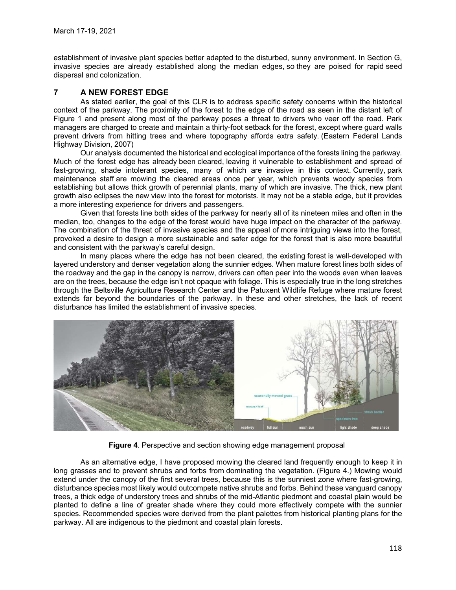establishment of invasive plant species better adapted to the disturbed, sunny environment. In Section G, invasive species are already established along the median edges, so they are poised for rapid seed dispersal and colonization.

# 7 A NEW FOREST EDGE

As stated earlier, the goal of this CLR is to address specific safety concerns within the historical context of the parkway. The proximity of the forest to the edge of the road as seen in the distant left of Figure 1 and present along most of the parkway poses a threat to drivers who veer off the road. Park managers are charged to create and maintain a thirty-foot setback for the forest, except where guard walls prevent drivers from hitting trees and where topography affords extra safety. (Eastern Federal Lands Highway Division, 2007)

Our analysis documented the historical and ecological importance of the forests lining the parkway. Much of the forest edge has already been cleared, leaving it vulnerable to establishment and spread of fast-growing, shade intolerant species, many of which are invasive in this context. Currently, park maintenance staff are mowing the cleared areas once per year, which prevents woody species from establishing but allows thick growth of perennial plants, many of which are invasive. The thick, new plant growth also eclipses the new view into the forest for motorists. It may not be a stable edge, but it provides a more interesting experience for drivers and passengers.

Given that forests line both sides of the parkway for nearly all of its nineteen miles and often in the median, too, changes to the edge of the forest would have huge impact on the character of the parkway. The combination of the threat of invasive species and the appeal of more intriguing views into the forest, provoked a desire to design a more sustainable and safer edge for the forest that is also more beautiful and consistent with the parkway's careful design.

In many places where the edge has not been cleared, the existing forest is well-developed with layered understory and denser vegetation along the sunnier edges. When mature forest lines both sides of the roadway and the gap in the canopy is narrow, drivers can often peer into the woods even when leaves are on the trees, because the edge isn't not opaque with foliage. This is especially true in the long stretches through the Beltsville Agriculture Research Center and the Patuxent Wildlife Refuge where mature forest extends far beyond the boundaries of the parkway. In these and other stretches, the lack of recent disturbance has limited the establishment of invasive species.



Figure 4. Perspective and section showing edge management proposal

As an alternative edge, I have proposed mowing the cleared land frequently enough to keep it in long grasses and to prevent shrubs and forbs from dominating the vegetation. (Figure 4.) Mowing would extend under the canopy of the first several trees, because this is the sunniest zone where fast-growing, disturbance species most likely would outcompete native shrubs and forbs. Behind these vanguard canopy trees, a thick edge of understory trees and shrubs of the mid-Atlantic piedmont and coastal plain would be planted to define a line of greater shade where they could more effectively compete with the sunnier species. Recommended species were derived from the plant palettes from historical planting plans for the parkway. All are indigenous to the piedmont and coastal plain forests.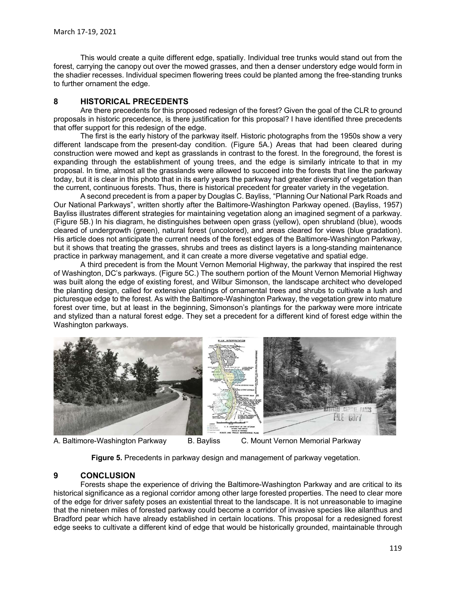This would create a quite different edge, spatially. Individual tree trunks would stand out from the forest, carrying the canopy out over the mowed grasses, and then a denser understory edge would form in the shadier recesses. Individual specimen flowering trees could be planted among the free-standing trunks to further ornament the edge.

### 8 HISTORICAL PRECEDENTS

Are there precedents for this proposed redesign of the forest? Given the goal of the CLR to ground proposals in historic precedence, is there justification for this proposal? I have identified three precedents that offer support for this redesign of the edge.

The first is the early history of the parkway itself. Historic photographs from the 1950s show a very different landscape from the present-day condition. (Figure 5A.) Areas that had been cleared during construction were mowed and kept as grasslands in contrast to the forest. In the foreground, the forest is expanding through the establishment of young trees, and the edge is similarly intricate to that in my proposal. In time, almost all the grasslands were allowed to succeed into the forests that line the parkway today, but it is clear in this photo that in its early years the parkway had greater diversity of vegetation than the current, continuous forests. Thus, there is historical precedent for greater variety in the vegetation.

A second precedent is from a paper by Douglas C. Bayliss, "Planning Our National Park Roads and Our National Parkways", written shortly after the Baltimore-Washington Parkway opened. (Bayliss, 1957) Bayliss illustrates different strategies for maintaining vegetation along an imagined segment of a parkway. (Figure 5B.) In his diagram, he distinguishes between open grass (yellow), open shrubland (blue), woods cleared of undergrowth (green), natural forest (uncolored), and areas cleared for views (blue gradation). His article does not anticipate the current needs of the forest edges of the Baltimore-Washington Parkway, but it shows that treating the grasses, shrubs and trees as distinct layers is a long-standing maintenance practice in parkway management, and it can create a more diverse vegetative and spatial edge.

A third precedent is from the Mount Vernon Memorial Highway, the parkway that inspired the rest of Washington, DC's parkways. (Figure 5C.) The southern portion of the Mount Vernon Memorial Highway was built along the edge of existing forest, and Wilbur Simonson, the landscape architect who developed the planting design, called for extensive plantings of ornamental trees and shrubs to cultivate a lush and picturesque edge to the forest. As with the Baltimore-Washington Parkway, the vegetation grew into mature forest over time, but at least in the beginning, Simonson's plantings for the parkway were more intricate and stylized than a natural forest edge. They set a precedent for a different kind of forest edge within the Washington parkways.



A. Baltimore-Washington Parkway B. Bayliss C. Mount Vernon Memorial Parkway

Figure 5. Precedents in parkway design and management of parkway vegetation.

## 9 CONCLUSION

Forests shape the experience of driving the Baltimore-Washington Parkway and are critical to its historical significance as a regional corridor among other large forested properties. The need to clear more of the edge for driver safety poses an existential threat to the landscape. It is not unreasonable to imagine that the nineteen miles of forested parkway could become a corridor of invasive species like ailanthus and Bradford pear which have already established in certain locations. This proposal for a redesigned forest edge seeks to cultivate a different kind of edge that would be historically grounded, maintainable through